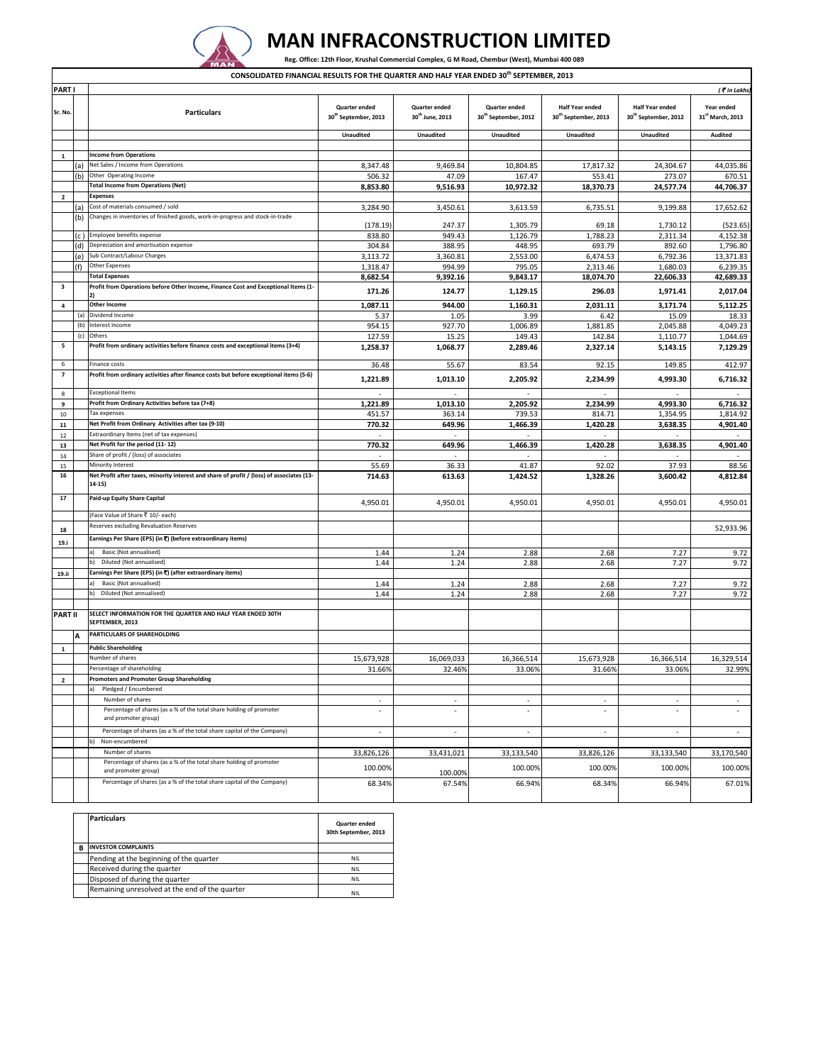

## **MAN INFRACONSTRUCTION LIMITED**

Reg. Office: 12th Floor, Krushal Commercial Complex, G M Road, Chembur (West), Mumbai 400 089

**CONSOLIDATED FINANCIAL RESULTS FOR THE QUARTER AND HALF YEAR ENDED 30th SEPTEMBER, 2013**

| <b>PARTI</b>            |            |                                                                                                                    |                                                   |                                              |                                                   |                                                            |                                                            | ( Tin Lakhs,                   |
|-------------------------|------------|--------------------------------------------------------------------------------------------------------------------|---------------------------------------------------|----------------------------------------------|---------------------------------------------------|------------------------------------------------------------|------------------------------------------------------------|--------------------------------|
| Sr. No.                 |            | <b>Particulars</b>                                                                                                 | Quarter ended<br>30 <sup>th</sup> September, 2013 | Quarter ended<br>30 <sup>th</sup> June, 2013 | Quarter ended<br>30 <sup>th</sup> September, 2012 | <b>Half Year ended</b><br>30 <sup>th</sup> September, 2013 | <b>Half Year ended</b><br>30 <sup>th</sup> September, 2012 | Year ended<br>31st March, 2013 |
|                         |            |                                                                                                                    | <b>Unaudited</b>                                  | <b>Unaudited</b>                             | <b>Unaudited</b>                                  | <b>Unaudited</b>                                           | <b>Unaudited</b>                                           | <b>Audited</b>                 |
|                         |            |                                                                                                                    |                                                   |                                              |                                                   |                                                            |                                                            |                                |
| $\mathbf{1}$            |            | <b>Income from Operations</b>                                                                                      |                                                   |                                              |                                                   |                                                            |                                                            |                                |
|                         | (a)        | Net Sales / Income from Operations                                                                                 | 8,347.48                                          | 9,469.84                                     | 10,804.85                                         | 17,817.32                                                  | 24,304.67                                                  | 44,035.86                      |
|                         | (b)        | Other Operating Income                                                                                             | 506.32                                            | 47.09                                        | 167.47                                            | 553.41                                                     | 273.07                                                     | 670.51                         |
|                         |            | <b>Total Income from Operations (Net)</b>                                                                          | 8,853.80                                          | 9,516.93                                     | 10,972.32                                         | 18,370.73                                                  | 24,577.74                                                  | 44,706.37                      |
| 2                       |            | Expenses                                                                                                           |                                                   |                                              |                                                   |                                                            |                                                            |                                |
|                         | (a)<br>(b) | Cost of materials consumed / sold<br>Changes in inventories of finished goods, work-in-progress and stock-in-trade | 3,284.90                                          | 3,450.61                                     | 3,613.59                                          | 6,735.51                                                   | 9,199.88                                                   | 17,652.62                      |
|                         |            |                                                                                                                    | (178.19)                                          | 247.37                                       | 1,305.79                                          | 69.18                                                      | 1,730.12                                                   | (523.65)                       |
|                         | (c )       | Employee benefits expense<br>Depreciation and amortisation expense                                                 | 838.80                                            | 949.43                                       | 1,126.79                                          | 1,788.23                                                   | 2.311.34                                                   | 4,152.38                       |
|                         | (d)        | Sub Contract/Labour Charges                                                                                        | 304.84                                            | 388.95                                       | 448.95                                            | 693.79                                                     | 892.60                                                     | 1,796.80                       |
|                         | e)<br>(f)  | Other Expenses                                                                                                     | 3,113.72<br>1,318.47                              | 3,360.81<br>994.99                           | 2,553.00<br>795.05                                | 6,474.53<br>2,313.46                                       | 6,792.36<br>1,680.03                                       | 13,371.83<br>6,239.35          |
|                         |            | <b>Total Expenses</b>                                                                                              | 8,682.54                                          | 9,392.16                                     | 9,843.17                                          | 18,074.70                                                  | 22,606.33                                                  | 42,689.33                      |
| 3                       |            | Profit from Operations before Other Income, Finance Cost and Exceptional Items (1-                                 | 171.26                                            | 124.77                                       | 1,129.15                                          | 296.03                                                     | 1,971.41                                                   | 2,017.04                       |
| 4                       |            | <b>Other Income</b>                                                                                                | 1,087.11                                          | 944.00                                       | 1,160.31                                          | 2,031.11                                                   | 3,171.74                                                   | 5,112.25                       |
|                         | (a)        | Dividend Income                                                                                                    | 5.37                                              | 1.05                                         | 3.99                                              | 6.42                                                       | 15.09                                                      | 18.33                          |
|                         | (b)        | Interest Income                                                                                                    | 954.15                                            | 927.70                                       | 1,006.89                                          | 1,881.85                                                   | 2,045.88                                                   | 4,049.23                       |
|                         | (c)        | Others                                                                                                             | 127.59                                            | 15.25                                        | 149.43                                            | 142.84                                                     | 1,110.77                                                   | 1,044.69                       |
| 5                       |            | Profit from ordinary activities before finance costs and exceptional items (3+4)                                   | 1,258.37                                          | 1,068.77                                     | 2,289.46                                          | 2,327.14                                                   | 5,143.15                                                   | 7,129.29                       |
| 6                       |            | Finance costs                                                                                                      | 36.48                                             | 55.67                                        | 83.54                                             | 92.15                                                      | 149.85                                                     | 412.97                         |
| 7                       |            | Profit from ordinary activities after finance costs but before exceptional items (5-6)                             | 1,221.89                                          | 1,013.10                                     | 2,205.92                                          | 2,234.99                                                   | 4,993.30                                                   | 6,716.32                       |
| $\mathbf{g}$            |            | <b>Exceptional Items</b>                                                                                           | ٠                                                 | $\sim$                                       | ٠                                                 |                                                            | $\sim$                                                     |                                |
| 9                       |            | Profit from Ordinary Activities before tax (7+8)                                                                   | 1,221.89                                          | 1,013.10                                     | 2,205.92                                          | 2,234.99                                                   | 4,993.30                                                   | 6,716.32                       |
| 10                      |            | Tax expenses                                                                                                       | 451.57                                            | 363.14                                       | 739.53                                            | 814.71                                                     | 1,354.95                                                   | 1,814.92                       |
| ${\bf 11}$              |            | Net Profit from Ordinary Activities after tax (9-10)                                                               | 770.32                                            | 649.96                                       | 1,466.39                                          | 1,420.28                                                   | 3,638.35                                                   | 4,901.40                       |
| 12                      |            | Extraordinary Items (net of tax expenses)                                                                          |                                                   |                                              |                                                   |                                                            |                                                            |                                |
| 13                      |            | Net Profit for the period (11-12)                                                                                  | 770.32                                            | 649.96                                       | 1,466.39                                          | 1,420.28                                                   | 3,638.35                                                   | 4,901.40                       |
| 14                      |            | Share of profit / (loss) of associates                                                                             |                                                   |                                              |                                                   |                                                            |                                                            |                                |
| 15                      |            | Minority Interest                                                                                                  | 55.69                                             | 36.33                                        | 41.87                                             | 92.02                                                      | 37.93                                                      | 88.56                          |
| 16                      |            | Net Profit after taxes, minority interest and share of profit / (loss) of associates (13-<br>14-15)                | 714.63                                            | 613.63                                       | 1,424.52                                          | 1,328.26                                                   | 3,600.42                                                   | 4,812.84                       |
| 17                      |            | Paid-up Equity Share Capital                                                                                       | 4,950.01                                          | 4,950.01                                     | 4,950.01                                          | 4,950.01                                                   | 4,950.01                                                   | 4,950.01                       |
|                         |            | (Face Value of Share ₹ 10/- each)                                                                                  |                                                   |                                              |                                                   |                                                            |                                                            |                                |
| 18                      |            | Reserves excluding Revaluation Reserves                                                                            |                                                   |                                              |                                                   |                                                            |                                                            | 52,933.96                      |
| 19.i                    |            | Earnings Per Share (EPS) (in ₹) (before extraordinary items)                                                       |                                                   |                                              |                                                   |                                                            |                                                            |                                |
|                         |            | a)<br>Basic (Not annualised)                                                                                       | 1.44                                              | 1.24                                         | 2.88                                              | 2.68                                                       | 7.27                                                       | 9.72                           |
|                         |            | Diluted (Not annualised)<br>b)                                                                                     | 1.44                                              | 1.24                                         | 2.88                                              | 2.68                                                       | 7.27                                                       | 9.72                           |
| 19.ii                   |            | Earnings Per Share (EPS) (in ₹) (after extraordinary items)                                                        |                                                   |                                              |                                                   |                                                            |                                                            |                                |
|                         |            | <b>Basic (Not annualised)</b>                                                                                      | 1.44                                              | 1.24                                         | 2.88                                              | 2.68                                                       | 7.27                                                       | 9.72                           |
|                         |            | Diluted (Not annualised)<br>b)                                                                                     | 1.44                                              | 1.24                                         | 2.88                                              | 2.68                                                       | 7.27                                                       | 9.72                           |
|                         |            |                                                                                                                    |                                                   |                                              |                                                   |                                                            |                                                            |                                |
| PART II                 |            | SELECT INFORMATION FOR THE QUARTER AND HALF YEAR ENDED 30TH<br>SEPTEMBER, 2013                                     |                                                   |                                              |                                                   |                                                            |                                                            |                                |
|                         |            | PARTICULARS OF SHAREHOLDING                                                                                        |                                                   |                                              |                                                   |                                                            |                                                            |                                |
| $\mathbf 1$             |            | <b>Public Shareholding</b>                                                                                         |                                                   |                                              |                                                   |                                                            |                                                            |                                |
|                         |            | Number of shares                                                                                                   | 15,673,928                                        | 16,069,033                                   | 16,366,514                                        | 15,673,928                                                 | 16,366,514                                                 | 16,329,514                     |
|                         |            | Percentage of shareholding                                                                                         | 31.66%                                            | 32.46%                                       | 33.06%                                            | 31.66%                                                     | 33.06%                                                     | 32.99%                         |
| $\overline{\mathbf{2}}$ |            | Promoters and Promoter Group Shareholding                                                                          |                                                   |                                              |                                                   |                                                            |                                                            |                                |
|                         |            | a)<br>Pledged / Encumbered                                                                                         |                                                   |                                              |                                                   |                                                            |                                                            |                                |
|                         |            | Number of shares                                                                                                   | ٠                                                 | ٠                                            | ٠                                                 | ٠                                                          | $\sim$                                                     | ٠                              |
|                         |            | Percentage of shares (as a % of the total share holding of promoter<br>and promoter group)                         | ÷.                                                | ×                                            | ×.                                                | ä,                                                         |                                                            | ×.                             |
|                         |            | Percentage of shares (as a % of the total share capital of the Company)                                            |                                                   |                                              | ×,                                                |                                                            |                                                            |                                |
|                         |            | Non-encumbered<br>b)                                                                                               |                                                   |                                              |                                                   |                                                            |                                                            |                                |
|                         |            | Number of shares                                                                                                   | 33,826,126                                        | 33,431,021                                   | 33,133,540                                        | 33,826,126                                                 | 33,133,540                                                 | 33,170,540                     |
|                         |            | Percentage of shares (as a % of the total share holding of promoter<br>and promoter group)                         | 100.00%                                           | 100.00%                                      | 100.00%                                           | 100.00%                                                    | 100.00%                                                    | 100.00%                        |
|                         |            | Percentage of shares (as a % of the total share capital of the Company)                                            | 68.34%                                            | 67.54%                                       | 66.94%                                            | 68.34%                                                     | 66.94%                                                     | 67.01%                         |

|   | <b>Particulars</b>                             | <b>Quarter ended</b><br>30th September, 2013 |
|---|------------------------------------------------|----------------------------------------------|
| R | <b>INVESTOR COMPLAINTS</b>                     |                                              |
|   | Pending at the beginning of the quarter        | NIL.                                         |
|   | Received during the quarter                    | <b>NIL</b>                                   |
|   | Disposed of during the quarter                 | NIL.                                         |
|   | Remaining unresolved at the end of the quarter | <b>NIL</b>                                   |